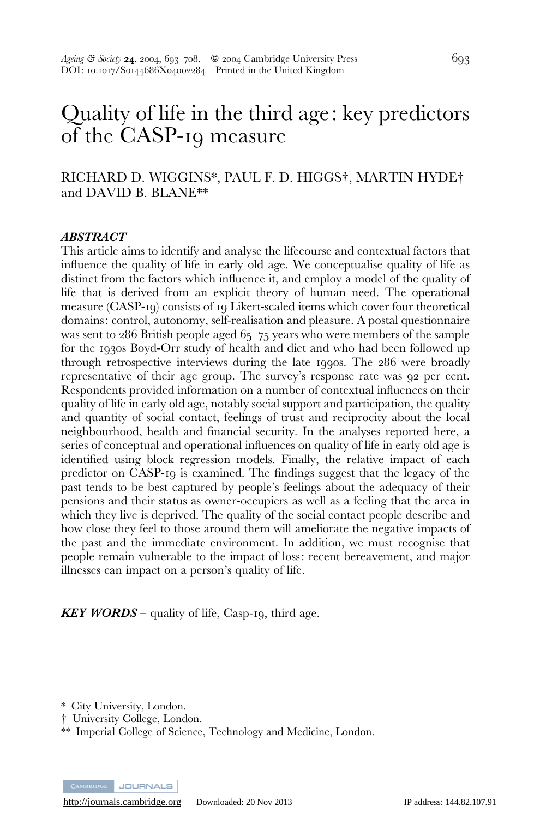# Quality of life in the third age: key predictors of the CASP-19 measure

## RICHARD D. WIGGINS\*, PAUL F. D. HIGGS†, MARTIN HYDE† and DAVID B. BLANE\*\*

#### ABSTRACT

This article aims to identify and analyse the lifecourse and contextual factors that influence the quality of life in early old age. We conceptualise quality of life as distinct from the factors which influence it, and employ a model of the quality of life that is derived from an explicit theory of human need. The operational measure (CASP-19) consists of 19 Likert-scaled items which cover four theoretical domains: control, autonomy, self-realisation and pleasure. A postal questionnaire was sent to 286 British people aged 65–75 years who were members of the sample for the 1930s Boyd-Orr study of health and diet and who had been followed up through retrospective interviews during the late 1990s. The 286 were broadly representative of their age group. The survey's response rate was 92 per cent. Respondents provided information on a number of contextual influences on their quality of life in early old age, notably social support and participation, the quality and quantity of social contact, feelings of trust and reciprocity about the local neighbourhood, health and financial security. In the analyses reported here, a series of conceptual and operational influences on quality of life in early old age is identified using block regression models. Finally, the relative impact of each predictor on CASP-19 is examined. The findings suggest that the legacy of the past tends to be best captured by people's feelings about the adequacy of their pensions and their status as owner-occupiers as well as a feeling that the area in which they live is deprived. The quality of the social contact people describe and how close they feel to those around them will ameliorate the negative impacts of the past and the immediate environment. In addition, we must recognise that people remain vulnerable to the impact of loss: recent bereavement, and major illnesses can impact on a person's quality of life.

**KEY WORDS** – quality of life, Casp-19, third age.

<sup>\*</sup> City University, London.

<sup>#</sup> University College, London.

<sup>\*\*</sup> Imperial College of Science, Technology and Medicine, London.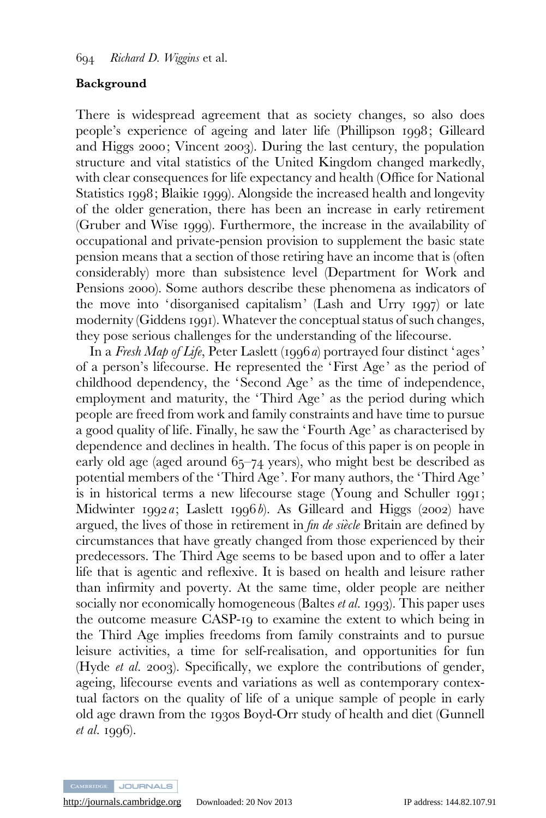## Background

There is widespread agreement that as society changes, so also does people's experience of ageing and later life (Phillipson 1998; Gilleard and Higgs 2000; Vincent 2003). During the last century, the population structure and vital statistics of the United Kingdom changed markedly, with clear consequences for life expectancy and health (Office for National Statistics 1998; Blaikie 1999). Alongside the increased health and longevity of the older generation, there has been an increase in early retirement (Gruber and Wise 1999). Furthermore, the increase in the availability of occupational and private-pension provision to supplement the basic state pension means that a section of those retiring have an income that is (often considerably) more than subsistence level (Department for Work and Pensions 2000). Some authors describe these phenomena as indicators of the move into 'disorganised capitalism' (Lash and Urry 1997) or late modernity (Giddens 1991). Whatever the conceptual status of such changes, they pose serious challenges for the understanding of the lifecourse.

In a Fresh Map of Life, Peter Laslett (1996a) portrayed four distinct 'ages' of a person's lifecourse. He represented the 'First Age' as the period of childhood dependency, the 'Second Age' as the time of independence, employment and maturity, the 'Third Age' as the period during which people are freed from work and family constraints and have time to pursue a good quality of life. Finally, he saw the 'Fourth Age' as characterised by dependence and declines in health. The focus of this paper is on people in early old age (aged around  $65-74$  years), who might best be described as potential members of the 'Third Age'. For many authors, the 'Third Age' is in historical terms a new lifecourse stage (Young and Schuller 1991; Midwinter 1992a; Laslett 1996b). As Gilleard and Higgs (2002) have argued, the lives of those in retirement in  $\hat{m}$  de siècle Britain are defined by circumstances that have greatly changed from those experienced by their predecessors. The Third Age seems to be based upon and to offer a later life that is agentic and reflexive. It is based on health and leisure rather than infirmity and poverty. At the same time, older people are neither socially nor economically homogeneous (Baltes *et al.* 1993). This paper uses the outcome measure CASP-19 to examine the extent to which being in the Third Age implies freedoms from family constraints and to pursue leisure activities, a time for self-realisation, and opportunities for fun (Hyde et al. 2003). Specifically, we explore the contributions of gender, ageing, lifecourse events and variations as well as contemporary contextual factors on the quality of life of a unique sample of people in early old age drawn from the 1930s Boyd-Orr study of health and diet (Gunnell et al. 1996).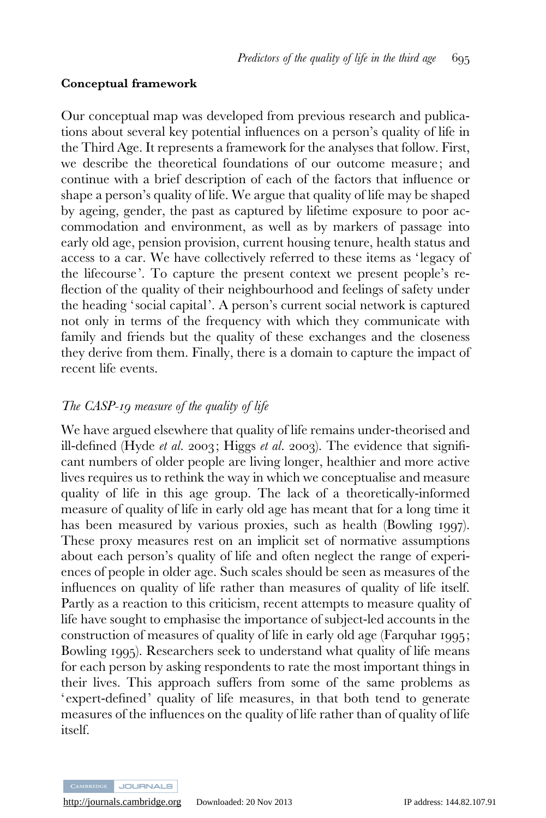## Conceptual framework

Our conceptual map was developed from previous research and publications about several key potential influences on a person's quality of life in the Third Age. It represents a framework for the analyses that follow. First, we describe the theoretical foundations of our outcome measure; and continue with a brief description of each of the factors that influence or shape a person's quality of life. We argue that quality of life may be shaped by ageing, gender, the past as captured by lifetime exposure to poor accommodation and environment, as well as by markers of passage into early old age, pension provision, current housing tenure, health status and access to a car. We have collectively referred to these items as 'legacy of the lifecourse'. To capture the present context we present people's reflection of the quality of their neighbourhood and feelings of safety under the heading ' social capital'. A person's current social network is captured not only in terms of the frequency with which they communicate with family and friends but the quality of these exchanges and the closeness they derive from them. Finally, there is a domain to capture the impact of recent life events.

## The CASP-19 measure of the quality of life

We have argued elsewhere that quality of life remains under-theorised and ill-defined (Hyde et al. 2003; Higgs et al. 2003). The evidence that significant numbers of older people are living longer, healthier and more active lives requires us to rethink the way in which we conceptualise and measure quality of life in this age group. The lack of a theoretically-informed measure of quality of life in early old age has meant that for a long time it has been measured by various proxies, such as health (Bowling 1997). These proxy measures rest on an implicit set of normative assumptions about each person's quality of life and often neglect the range of experiences of people in older age. Such scales should be seen as measures of the influences on quality of life rather than measures of quality of life itself. Partly as a reaction to this criticism, recent attempts to measure quality of life have sought to emphasise the importance of subject-led accounts in the construction of measures of quality of life in early old age (Farquhar 1995; Bowling 1995). Researchers seek to understand what quality of life means for each person by asking respondents to rate the most important things in their lives. This approach suffers from some of the same problems as 'expert-defined' quality of life measures, in that both tend to generate measures of the influences on the quality of life rather than of quality of life itself.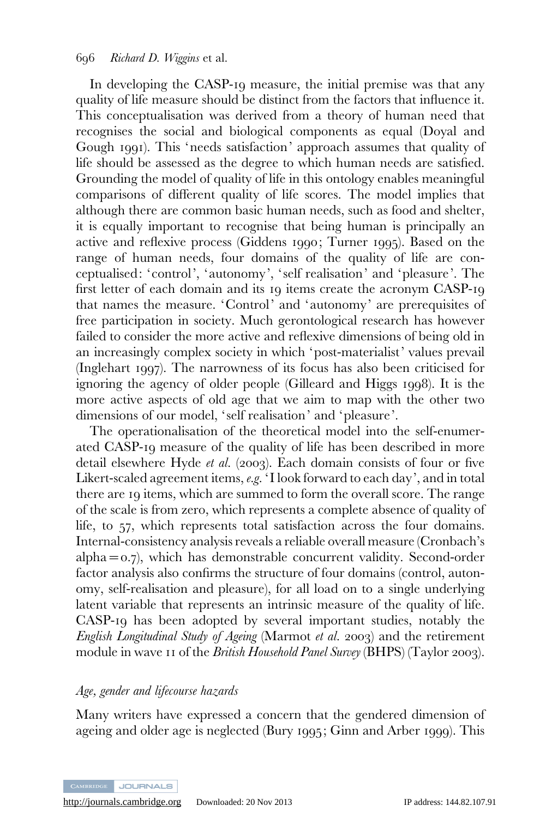#### 696 Richard D. Wiggins et al.

In developing the CASP-19 measure, the initial premise was that any quality of life measure should be distinct from the factors that influence it. This conceptualisation was derived from a theory of human need that recognises the social and biological components as equal (Doyal and Gough 1991). This 'needs satisfaction' approach assumes that quality of life should be assessed as the degree to which human needs are satisfied. Grounding the model of quality of life in this ontology enables meaningful comparisons of different quality of life scores. The model implies that although there are common basic human needs, such as food and shelter, it is equally important to recognise that being human is principally an active and reflexive process (Giddens 1990; Turner 1995). Based on the range of human needs, four domains of the quality of life are conceptualised: 'control', 'autonomy', ' self realisation' and 'pleasure'. The first letter of each domain and its 19 items create the acronym CASP-19 that names the measure. 'Control' and 'autonomy' are prerequisites of free participation in society. Much gerontological research has however failed to consider the more active and reflexive dimensions of being old in an increasingly complex society in which 'post-materialist' values prevail (Inglehart 1997). The narrowness of its focus has also been criticised for ignoring the agency of older people (Gilleard and Higgs 1998). It is the more active aspects of old age that we aim to map with the other two dimensions of our model, ' self realisation' and 'pleasure'.

The operationalisation of the theoretical model into the self-enumerated CASP-19 measure of the quality of life has been described in more detail elsewhere Hyde et al. (2003). Each domain consists of four or five Likert-scaled agreement items, e.g. 'I look forward to each day', and in total there are 19 items, which are summed to form the overall score. The range of the scale is from zero, which represents a complete absence of quality of life, to 57, which represents total satisfaction across the four domains. Internal-consistency analysis reveals a reliable overall measure (Cronbach's alpha=0.7), which has demonstrable concurrent validity. Second-order factor analysis also confirms the structure of four domains (control, autonomy, self-realisation and pleasure), for all load on to a single underlying latent variable that represents an intrinsic measure of the quality of life. CASP-19 has been adopted by several important studies, notably the English Longitudinal Study of Ageing (Marmot et al. 2003) and the retirement module in wave 11 of the *British Household Panel Survey* (BHPS) (Taylor 2003).

## Age, gender and lifecourse hazards

Many writers have expressed a concern that the gendered dimension of ageing and older age is neglected (Bury 1995; Ginn and Arber 1999). This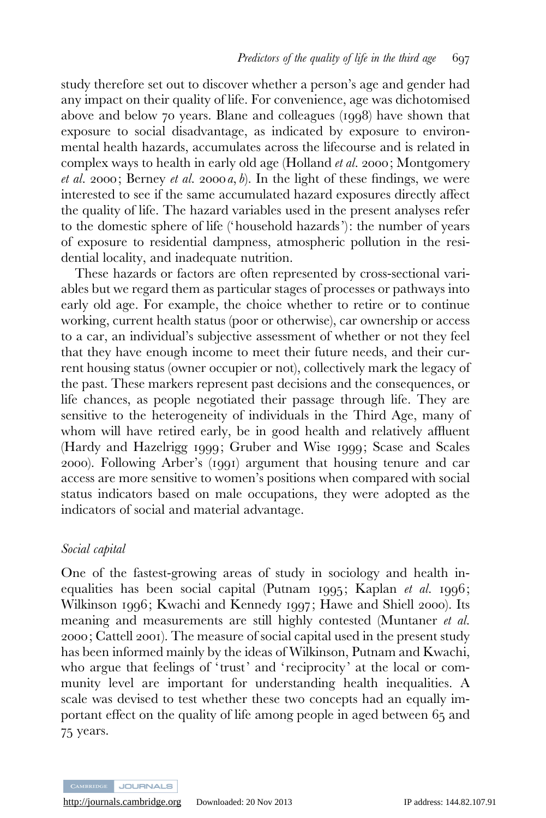study therefore set out to discover whether a person's age and gender had any impact on their quality of life. For convenience, age was dichotomised above and below 70 years. Blane and colleagues (1998) have shown that exposure to social disadvantage, as indicated by exposure to environmental health hazards, accumulates across the lifecourse and is related in complex ways to health in early old age (Holland et al. 2000; Montgomery *et al.* 2000; Berney *et al.* 2000*a*, *b*). In the light of these findings, we were interested to see if the same accumulated hazard exposures directly affect the quality of life. The hazard variables used in the present analyses refer to the domestic sphere of life ('household hazards'): the number of years of exposure to residential dampness, atmospheric pollution in the residential locality, and inadequate nutrition.

These hazards or factors are often represented by cross-sectional variables but we regard them as particular stages of processes or pathways into early old age. For example, the choice whether to retire or to continue working, current health status (poor or otherwise), car ownership or access to a car, an individual's subjective assessment of whether or not they feel that they have enough income to meet their future needs, and their current housing status (owner occupier or not), collectively mark the legacy of the past. These markers represent past decisions and the consequences, or life chances, as people negotiated their passage through life. They are sensitive to the heterogeneity of individuals in the Third Age, many of whom will have retired early, be in good health and relatively affluent (Hardy and Hazelrigg 1999; Gruber and Wise 1999; Scase and Scales 2000). Following Arber's (1991) argument that housing tenure and car access are more sensitive to women's positions when compared with social status indicators based on male occupations, they were adopted as the indicators of social and material advantage.

#### Social capital

One of the fastest-growing areas of study in sociology and health inequalities has been social capital (Putnam 1995; Kaplan et al. 1996; Wilkinson 1996; Kwachi and Kennedy 1997; Hawe and Shiell 2000). Its meaning and measurements are still highly contested (Muntaner et al. 2000; Cattell 2001). The measure of social capital used in the present study has been informed mainly by the ideas of Wilkinson, Putnam and Kwachi, who argue that feelings of 'trust' and 'reciprocity' at the local or community level are important for understanding health inequalities. A scale was devised to test whether these two concepts had an equally important effect on the quality of life among people in aged between 65 and 75 years.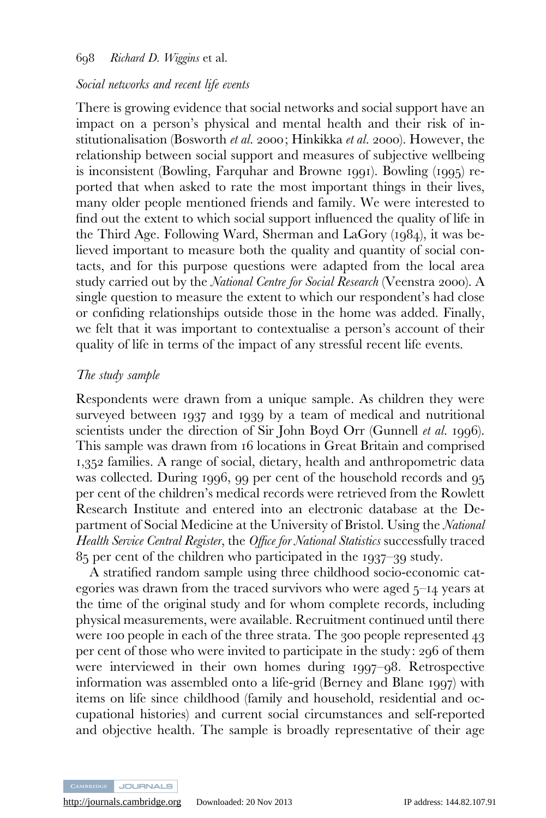#### 698 Richard D. Wiggins et al.

#### Social networks and recent life events

There is growing evidence that social networks and social support have an impact on a person's physical and mental health and their risk of institutionalisation (Bosworth et al. 2000; Hinkikka et al. 2000). However, the relationship between social support and measures of subjective wellbeing is inconsistent (Bowling, Farquhar and Browne 1991). Bowling (1995) reported that when asked to rate the most important things in their lives, many older people mentioned friends and family. We were interested to find out the extent to which social support influenced the quality of life in the Third Age. Following Ward, Sherman and LaGory (1984), it was believed important to measure both the quality and quantity of social contacts, and for this purpose questions were adapted from the local area study carried out by the National Centre for Social Research (Veenstra 2000). A single question to measure the extent to which our respondent's had close or confiding relationships outside those in the home was added. Finally, we felt that it was important to contextualise a person's account of their quality of life in terms of the impact of any stressful recent life events.

#### The study sample

Respondents were drawn from a unique sample. As children they were surveyed between 1937 and 1939 by a team of medical and nutritional scientists under the direction of Sir John Boyd Orr (Gunnell et al. 1996). This sample was drawn from 16 locations in Great Britain and comprised 1,352 families. A range of social, dietary, health and anthropometric data was collected. During 1996, 99 per cent of the household records and 95 per cent of the children's medical records were retrieved from the Rowlett Research Institute and entered into an electronic database at the Department of Social Medicine at the University of Bristol. Using the National Health Service Central Register, the Office for National Statistics successfully traced 85 per cent of the children who participated in the 1937–39 study.

A stratified random sample using three childhood socio-economic categories was drawn from the traced survivors who were aged 5–14 years at the time of the original study and for whom complete records, including physical measurements, were available. Recruitment continued until there were 100 people in each of the three strata. The 300 people represented 43 per cent of those who were invited to participate in the study: 296 of them were interviewed in their own homes during 1997–98. Retrospective information was assembled onto a life-grid (Berney and Blane 1997) with items on life since childhood (family and household, residential and occupational histories) and current social circumstances and self-reported and objective health. The sample is broadly representative of their age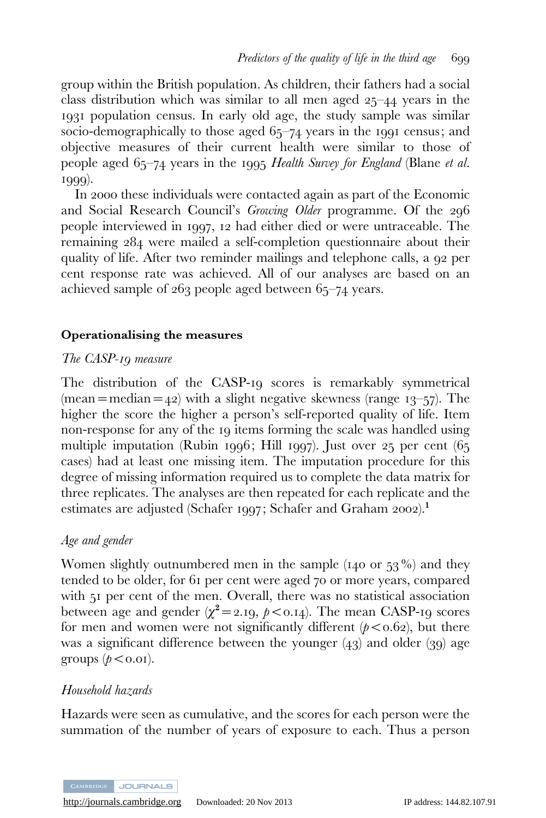group within the British population. As children, their fathers had a social class distribution which was similar to all men aged  $25-44$  years in the 1931 population census. In early old age, the study sample was similar socio-demographically to those aged 65–74 years in the 1991 census; and objective measures of their current health were similar to those of people aged 65–74 years in the 1995 Health Survey for England (Blane et al. 1999).

In 2000 these individuals were contacted again as part of the Economic and Social Research Council's Growing Older programme. Of the 296 people interviewed in 1997, 12 had either died or were untraceable. The remaining 284 were mailed a self-completion questionnaire about their quality of life. After two reminder mailings and telephone calls, a 92 per cent response rate was achieved. All of our analyses are based on an achieved sample of 263 people aged between 65–74 years.

## Operationalising the measures

## The CASP-19 measure

The distribution of the CASP-19 scores is remarkably symmetrical (mean = median =  $\alpha$ 2) with a slight negative skewness (range 13–57). The higher the score the higher a person's self-reported quality of life. Item non-response for any of the 19 items forming the scale was handled using multiple imputation (Rubin 1996; Hill 1997). Just over 25 per cent (65 cases) had at least one missing item. The imputation procedure for this degree of missing information required us to complete the data matrix for three replicates. The analyses are then repeated for each replicate and the estimates are adjusted (Schafer 1997; Schafer and Graham 2002).<sup>1</sup>

## Age and gender

Women slightly outnumbered men in the sample (140 or 53%) and they tended to be older, for 61 per cent were aged 70 or more years, compared with  $51$  per cent of the men. Overall, there was no statistical association between age and gender ( $\chi^2$ =2.19,  $p$ <0.14). The mean CASP-19 scores for men and women were not significantly different  $(p < 0.62)$ , but there was a significant difference between the younger  $(43)$  and older  $(39)$  age groups  $(p < 0.01)$ .

## Household hazards

Hazards were seen as cumulative, and the scores for each person were the summation of the number of years of exposure to each. Thus a person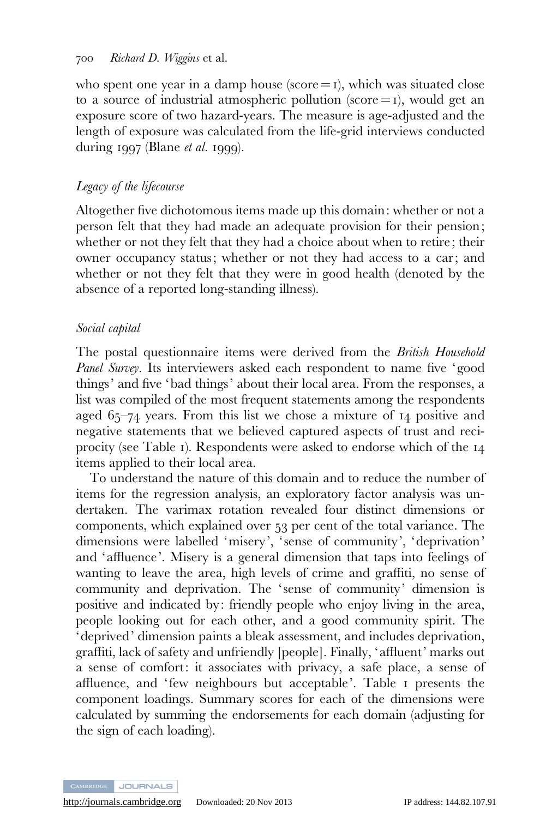who spent one year in a damp house (score  $=1$ ), which was situated close to a source of industrial atmospheric pollution (score=1), would get an exposure score of two hazard-years. The measure is age-adjusted and the length of exposure was calculated from the life-grid interviews conducted during 1997 (Blane *et al.* 1999).

# Legacy of the lifecourse

Altogether five dichotomous items made up this domain: whether or not a person felt that they had made an adequate provision for their pension; whether or not they felt that they had a choice about when to retire; their owner occupancy status; whether or not they had access to a car; and whether or not they felt that they were in good health (denoted by the absence of a reported long-standing illness).

## Social capital

The postal questionnaire items were derived from the British Household Panel Survey. Its interviewers asked each respondent to name five 'good things' and five 'bad things' about their local area. From the responses, a list was compiled of the most frequent statements among the respondents aged 65–74 years. From this list we chose a mixture of 14 positive and negative statements that we believed captured aspects of trust and reciprocity (see Table 1). Respondents were asked to endorse which of the 14 items applied to their local area.

To understand the nature of this domain and to reduce the number of items for the regression analysis, an exploratory factor analysis was undertaken. The varimax rotation revealed four distinct dimensions or components, which explained over 53 per cent of the total variance. The dimensions were labelled 'misery', ' sense of community', 'deprivation' and 'affluence'. Misery is a general dimension that taps into feelings of wanting to leave the area, high levels of crime and graffiti, no sense of community and deprivation. The 'sense of community' dimension is positive and indicated by: friendly people who enjoy living in the area, people looking out for each other, and a good community spirit. The 'deprived' dimension paints a bleak assessment, and includes deprivation, graffiti, lack of safety and unfriendly [people]. Finally, 'affluent' marks out a sense of comfort: it associates with privacy, a safe place, a sense of affluence, and 'few neighbours but acceptable'. Table 1 presents the component loadings. Summary scores for each of the dimensions were calculated by summing the endorsements for each domain (adjusting for the sign of each loading).

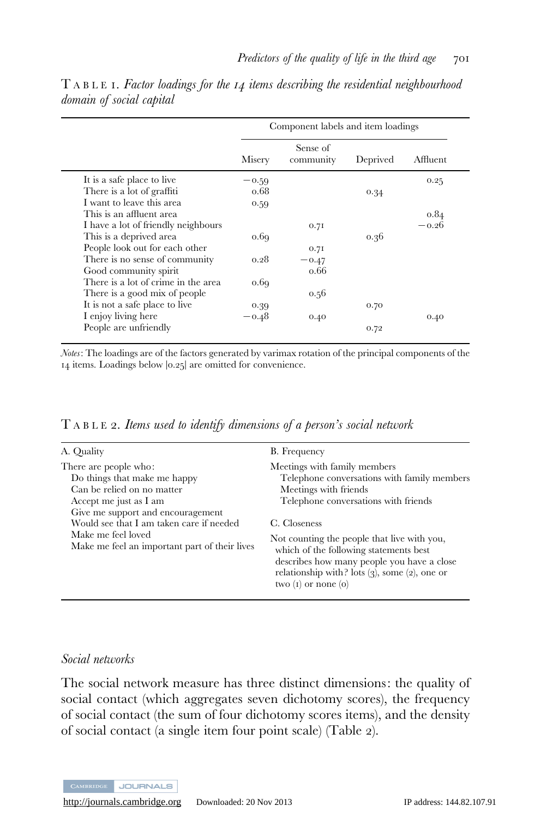|                                     |         |                       |          | Component labels and item loadings |  |  |
|-------------------------------------|---------|-----------------------|----------|------------------------------------|--|--|
|                                     | Misery  | Sense of<br>community | Deprived | Affluent                           |  |  |
| It is a safe place to live          | $-0.59$ |                       |          | 0.25                               |  |  |
| There is a lot of graffiti          | 0.68    |                       | 0.34     |                                    |  |  |
| I want to leave this area           | 0.59    |                       |          |                                    |  |  |
| This is an affluent area            |         |                       |          | 0.84                               |  |  |
| I have a lot of friendly neighbours |         | 0.71                  |          | $-0.26$                            |  |  |
| This is a deprived area             | 0.69    |                       | 0.36     |                                    |  |  |
| People look out for each other      |         | 0.71                  |          |                                    |  |  |
| There is no sense of community      | 0.28    | $-0.47$               |          |                                    |  |  |
| Good community spirit               |         | 0.66                  |          |                                    |  |  |
| There is a lot of crime in the area | 0.69    |                       |          |                                    |  |  |
| There is a good mix of people       |         | 0.56                  |          |                                    |  |  |
| It is not a safe place to live      | 0.39    |                       | 0.70     |                                    |  |  |
| I enjoy living here                 | $-0.48$ | 0.40                  |          | 0.40                               |  |  |
| People are unfriendly               |         |                       | 0.72     |                                    |  |  |

 $T A B L E I.$  Factor loadings for the  $I_4$  items describing the residential neighbourhood domain of social capital

Notes: The loadings are of the factors generated by varimax rotation of the principal components of the 14 items. Loadings below |0.25| are omitted for convenience.

| TABLE 2. Items used to identify dimensions of a person's social network |  |  |  |  |
|-------------------------------------------------------------------------|--|--|--|--|
|-------------------------------------------------------------------------|--|--|--|--|

| A. Quality                                                                                                                                         | <b>B.</b> Frequency                                                                                                                                                                                                                   |
|----------------------------------------------------------------------------------------------------------------------------------------------------|---------------------------------------------------------------------------------------------------------------------------------------------------------------------------------------------------------------------------------------|
| There are people who:<br>Do things that make me happy<br>Can be relied on no matter<br>Accept me just as I am<br>Give me support and encouragement | Meetings with family members<br>Telephone conversations with family members<br>Meetings with friends<br>Telephone conversations with friends                                                                                          |
| Would see that I am taken care if needed<br>Make me feel loved<br>Make me feel an important part of their lives                                    | C. Closeness<br>Not counting the people that live with you,<br>which of the following statements best<br>describes how many people you have a close<br>relationship with? lots $(3)$ , some $(2)$ , one or<br>two $(i)$ or none $(o)$ |

#### Social networks

The social network measure has three distinct dimensions: the quality of social contact (which aggregates seven dichotomy scores), the frequency of social contact (the sum of four dichotomy scores items), and the density of social contact (a single item four point scale) (Table 2).

CAMBRIDGE JOURNALS

<http://journals.cambridge.org> Downloaded: 20 Nov 2013 IP address: 144.82.107.91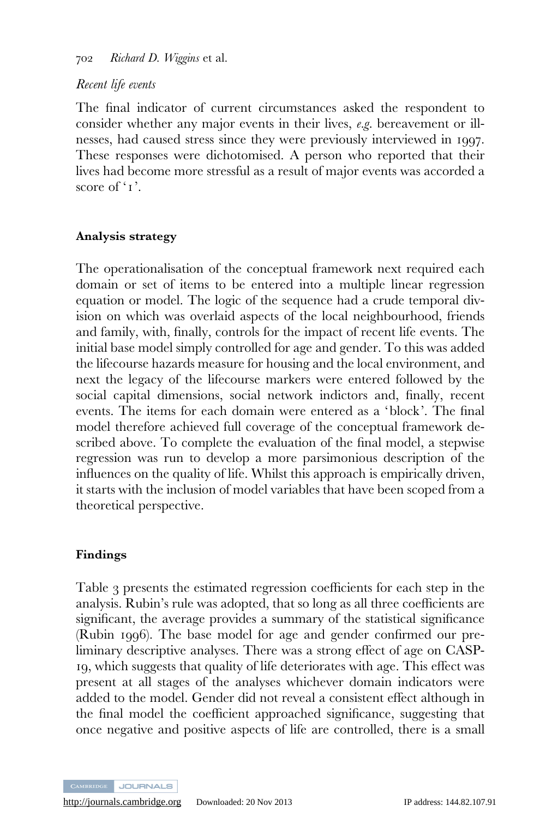# Recent life events

The final indicator of current circumstances asked the respondent to consider whether any major events in their lives, e.g. bereavement or illnesses, had caused stress since they were previously interviewed in 1997. These responses were dichotomised. A person who reported that their lives had become more stressful as a result of major events was accorded a score of  $\cdot$   $\cdot$ .

# Analysis strategy

The operationalisation of the conceptual framework next required each domain or set of items to be entered into a multiple linear regression equation or model. The logic of the sequence had a crude temporal division on which was overlaid aspects of the local neighbourhood, friends and family, with, finally, controls for the impact of recent life events. The initial base model simply controlled for age and gender. To this was added the lifecourse hazards measure for housing and the local environment, and next the legacy of the lifecourse markers were entered followed by the social capital dimensions, social network indictors and, finally, recent events. The items for each domain were entered as a 'block'. The final model therefore achieved full coverage of the conceptual framework described above. To complete the evaluation of the final model, a stepwise regression was run to develop a more parsimonious description of the influences on the quality of life. Whilst this approach is empirically driven, it starts with the inclusion of model variables that have been scoped from a theoretical perspective.

# Findings

Table 3 presents the estimated regression coefficients for each step in the analysis. Rubin's rule was adopted, that so long as all three coefficients are significant, the average provides a summary of the statistical significance (Rubin 1996). The base model for age and gender confirmed our preliminary descriptive analyses. There was a strong effect of age on CASP-19, which suggests that quality of life deteriorates with age. This effect was present at all stages of the analyses whichever domain indicators were added to the model. Gender did not reveal a consistent effect although in the final model the coefficient approached significance, suggesting that once negative and positive aspects of life are controlled, there is a small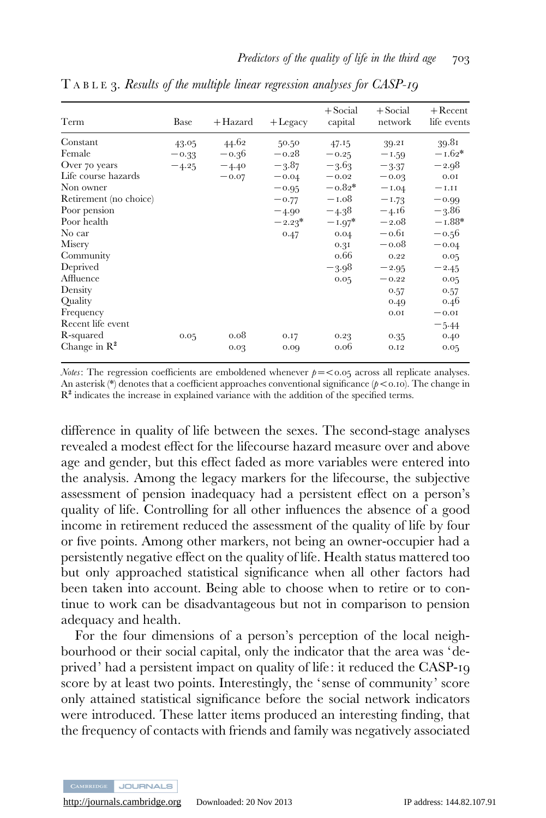| Term                     | Base    | + Hazard | $+$ Legacy | $+$ Social<br>capital | $+$ Social<br>network | $+$ Recent<br>life events |
|--------------------------|---------|----------|------------|-----------------------|-----------------------|---------------------------|
| Constant                 | 43.05   | 44.62    | 50.50      | 47.15                 | 39.21                 | 39.81                     |
| Female                   | $-0.33$ | $-0.36$  | $-0.28$    | $-0.25$               | $-1.59$               | $-1.62*$                  |
| Over 70 years            | $-4.25$ | $-4.40$  | $-3.87$    | $-3.63$               | $-3.37$               | $-2.98$                   |
| Life course hazards      |         | $-0.07$  | $-0.04$    | $-0.02$               | $-0.03$               | 0.01                      |
| Non owner                |         |          | $-0.95$    | $-0.82*$              | $-1.04$               | $-1.11$                   |
| Retirement (no choice)   |         |          | $-0.77$    | $-1.08$               | $-1.73$               | $-0.99$                   |
| Poor pension             |         |          | $-4.90$    | $-4.38$               | $-4.16$               | $-3.86$                   |
| Poor health              |         |          | $-2.23*$   | $-1.97*$              | $-2.08$               | $-1.88*$                  |
| No car                   |         |          | 0.47       | 0.04                  | $-0.61$               | $-0.56$                   |
| Misery                   |         |          |            | 0.31                  | $-0.08$               | $-0.04$                   |
| Community                |         |          |            | 0.66                  | 0.22                  | 0.05                      |
| Deprived                 |         |          |            | $-3.98$               | $-2.95$               | $-2.45$                   |
| Affluence                |         |          |            | 0.05                  | $-0.22$               | 0.05                      |
| Density                  |         |          |            |                       | 0.57                  | 0.57                      |
| Quality                  |         |          |            |                       | 0.49                  | 0.46                      |
| Frequency                |         |          |            |                       | 0.01                  | $-0.01$                   |
| Recent life event        |         |          |            |                       |                       | $-5.44$                   |
| R-squared                | 0.05    | 0.08     | 0.17       | 0.23                  | 0.35                  | 0.40                      |
| Change in $\mathbb{R}^2$ |         | 0.03     | 0.09       | 0.06                  | 0.12                  | 0.05                      |

 $T A B L E$  3. Results of the multiple linear regression analyses for CASP-19

*Notes*: The regression coefficients are emboldened whenever  $p = 0.05$  across all replicate analyses. An asterisk (\*) denotes that a coefficient approaches conventional significance ( $p < 0.10$ ). The change in  $R<sup>2</sup>$  indicates the increase in explained variance with the addition of the specified terms.

difference in quality of life between the sexes. The second-stage analyses revealed a modest effect for the lifecourse hazard measure over and above age and gender, but this effect faded as more variables were entered into the analysis. Among the legacy markers for the lifecourse, the subjective assessment of pension inadequacy had a persistent effect on a person's quality of life. Controlling for all other influences the absence of a good income in retirement reduced the assessment of the quality of life by four or five points. Among other markers, not being an owner-occupier had a persistently negative effect on the quality of life. Health status mattered too but only approached statistical significance when all other factors had been taken into account. Being able to choose when to retire or to continue to work can be disadvantageous but not in comparison to pension adequacy and health.

For the four dimensions of a person's perception of the local neighbourhood or their social capital, only the indicator that the area was 'deprived' had a persistent impact on quality of life: it reduced the CASP-19 score by at least two points. Interestingly, the 'sense of community' score only attained statistical significance before the social network indicators were introduced. These latter items produced an interesting finding, that the frequency of contacts with friends and family was negatively associated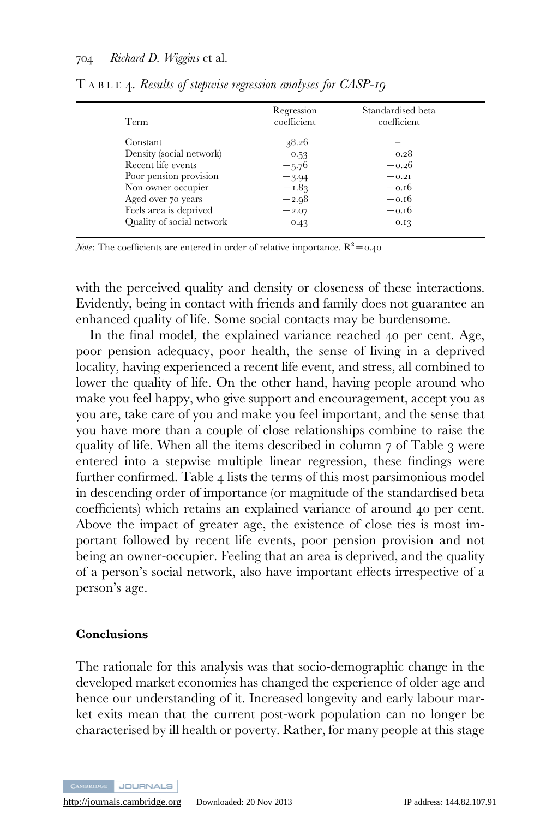| Term                      | Regression<br>coefficient | Standardised beta<br>coefficient |
|---------------------------|---------------------------|----------------------------------|
| Constant                  | 38.26                     |                                  |
| Density (social network)  | 0.53                      | 0.28                             |
| Recent life events        | $-5.76$                   | $-0.26$                          |
| Poor pension provision    | $-3.94$                   | $-0.21$                          |
| Non owner occupier        | $-1.83$                   | $-0.16$                          |
| Aged over 70 years        | $-2.98$                   | $-0.16$                          |
| Feels area is deprived    | $-2.07$                   | $-0.16$                          |
| Quality of social network | 0.43                      | 0.13                             |

 $T A B L E 4$ . Results of stepwise regression analyses for CASP-19

*Note*: The coefficients are entered in order of relative importance.  $R^2 = 0.40$ 

with the perceived quality and density or closeness of these interactions. Evidently, being in contact with friends and family does not guarantee an enhanced quality of life. Some social contacts may be burdensome.

In the final model, the explained variance reached 40 per cent. Age, poor pension adequacy, poor health, the sense of living in a deprived locality, having experienced a recent life event, and stress, all combined to lower the quality of life. On the other hand, having people around who make you feel happy, who give support and encouragement, accept you as you are, take care of you and make you feel important, and the sense that you have more than a couple of close relationships combine to raise the quality of life. When all the items described in column 7 of Table 3 were entered into a stepwise multiple linear regression, these findings were further confirmed. Table 4 lists the terms of this most parsimonious model in descending order of importance (or magnitude of the standardised beta coefficients) which retains an explained variance of around 40 per cent. Above the impact of greater age, the existence of close ties is most important followed by recent life events, poor pension provision and not being an owner-occupier. Feeling that an area is deprived, and the quality of a person's social network, also have important effects irrespective of a person's age.

#### Conclusions

The rationale for this analysis was that socio-demographic change in the developed market economies has changed the experience of older age and hence our understanding of it. Increased longevity and early labour market exits mean that the current post-work population can no longer be characterised by ill health or poverty. Rather, for many people at this stage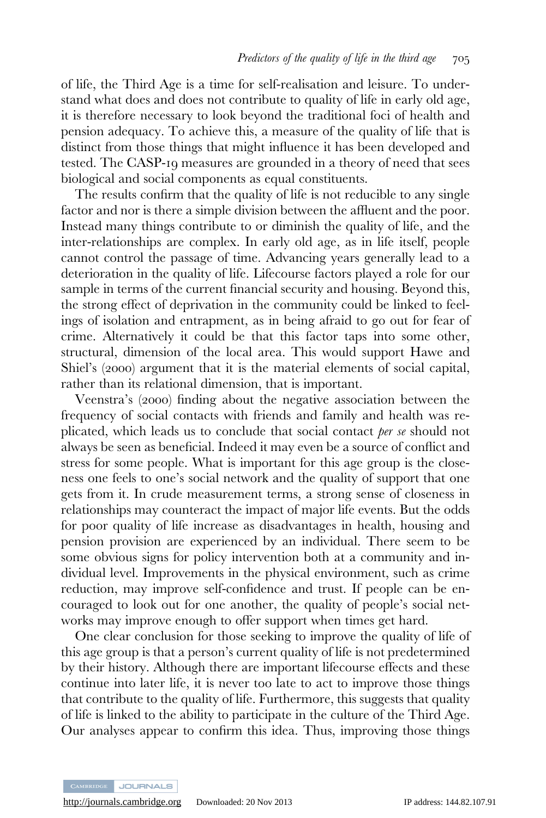of life, the Third Age is a time for self-realisation and leisure. To understand what does and does not contribute to quality of life in early old age, it is therefore necessary to look beyond the traditional foci of health and pension adequacy. To achieve this, a measure of the quality of life that is distinct from those things that might influence it has been developed and tested. The CASP-19 measures are grounded in a theory of need that sees biological and social components as equal constituents.

The results confirm that the quality of life is not reducible to any single factor and nor is there a simple division between the affluent and the poor. Instead many things contribute to or diminish the quality of life, and the inter-relationships are complex. In early old age, as in life itself, people cannot control the passage of time. Advancing years generally lead to a deterioration in the quality of life. Lifecourse factors played a role for our sample in terms of the current financial security and housing. Beyond this, the strong effect of deprivation in the community could be linked to feelings of isolation and entrapment, as in being afraid to go out for fear of crime. Alternatively it could be that this factor taps into some other, structural, dimension of the local area. This would support Hawe and Shiel's (2000) argument that it is the material elements of social capital, rather than its relational dimension, that is important.

Veenstra's (2000) finding about the negative association between the frequency of social contacts with friends and family and health was replicated, which leads us to conclude that social contact per se should not always be seen as beneficial. Indeed it may even be a source of conflict and stress for some people. What is important for this age group is the closeness one feels to one's social network and the quality of support that one gets from it. In crude measurement terms, a strong sense of closeness in relationships may counteract the impact of major life events. But the odds for poor quality of life increase as disadvantages in health, housing and pension provision are experienced by an individual. There seem to be some obvious signs for policy intervention both at a community and individual level. Improvements in the physical environment, such as crime reduction, may improve self-confidence and trust. If people can be encouraged to look out for one another, the quality of people's social networks may improve enough to offer support when times get hard.

One clear conclusion for those seeking to improve the quality of life of this age group is that a person's current quality of life is not predetermined by their history. Although there are important lifecourse effects and these continue into later life, it is never too late to act to improve those things that contribute to the quality of life. Furthermore, this suggests that quality of life is linked to the ability to participate in the culture of the Third Age. Our analyses appear to confirm this idea. Thus, improving those things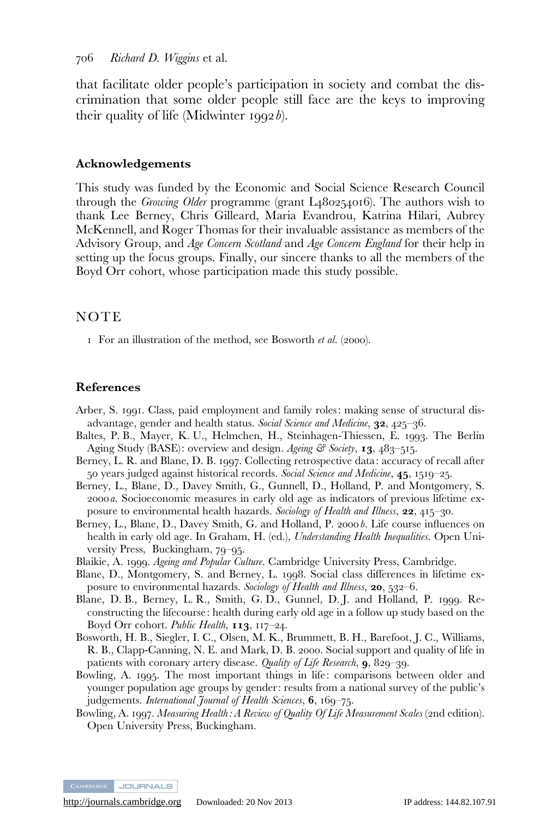that facilitate older people's participation in society and combat the discrimination that some older people still face are the keys to improving their quality of life (Midwinter  $1992 b$ ).

#### Acknowledgements

This study was funded by the Economic and Social Science Research Council through the Growing Older programme (grant L480254016). The authors wish to thank Lee Berney, Chris Gilleard, Maria Evandrou, Katrina Hilari, Aubrey McKennell, and Roger Thomas for their invaluable assistance as members of the Advisory Group, and Age Concern Scotland and Age Concern England for their help in setting up the focus groups. Finally, our sincere thanks to all the members of the Boyd Orr cohort, whose participation made this study possible.

#### **NOTE**

1 For an illustration of the method, see Bosworth et al. (2000).

#### References

- Arber, S. 1991. Class, paid employment and family roles: making sense of structural disadvantage, gender and health status. Social Science and Medicine, 32, 425-36.
- Baltes, P. B., Mayer, K. U., Helmchen, H., Steinhagen-Thiessen, E. 1993. The Berlin Aging Study (BASE): overview and design. Ageing & Society, 13, 483-515.
- Berney, L. R. and Blane, D. B. 1997. Collecting retrospective data: accuracy of recall after 50 years judged against historical records. Social Science and Medicine, 45, 1519–25.
- Berney, L., Blane, D., Davey Smith, G., Gunnell, D., Holland, P. and Montgomery, S. 2000a. Socioeconomic measures in early old age as indicators of previous lifetime exposure to environmental health hazards. Sociology of Health and Illness, 22, 415–30.
- Berney, L., Blane, D., Davey Smith, G. and Holland, P. 2000 $b$ . Life course influences on health in early old age. In Graham, H. (ed.), Understanding Health Inequalities. Open University Press, Buckingham, 79–95.
- Blaikie, A. 1999. Ageing and Popular Culture. Cambridge University Press, Cambridge.
- Blane, D., Montgomery, S. and Berney, L. 1998. Social class differences in lifetime exposure to environmental hazards. Sociology of Health and Illness, 20, 532–6.
- Blane, D. B., Berney, L. R., Smith, G. D., Gunnel, D. J. and Holland, P. 1999. Reconstructing the lifecourse: health during early old age in a follow up study based on the Boyd Orr cohort. Public Health,  $113$ ,  $117-24$ .
- Bosworth, H. B., Siegler, I. C., Olsen, M. K., Brummett, B. H., Barefoot, J. C., Williams, R. B., Clapp-Canning, N. E. and Mark, D. B. 2000. Social support and quality of life in patients with coronary artery disease. Quality of Life Research,  $9, 829-39$ .
- Bowling, A. 1995. The most important things in life: comparisons between older and younger population age groups by gender: results from a national survey of the public's judgements. International Journal of Health Sciences,  $6$ ,  $169-75$ .
- Bowling, A. 1997. Measuring Health: A Review of Quality Of Life Measurement Scales (2nd edition). Open University Press, Buckingham.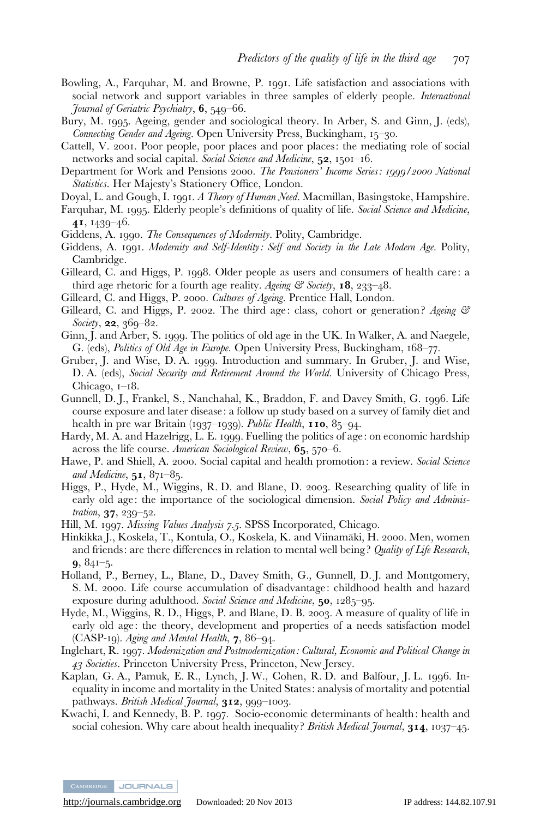- Bowling, A., Farquhar, M. and Browne, P. 1991. Life satisfaction and associations with social network and support variables in three samples of elderly people. International Journal of Geriatric Psychiatry, 6, 549–66.
- Bury, M. 1995. Ageing, gender and sociological theory. In Arber, S. and Ginn, J. (eds), Connecting Gender and Ageing. Open University Press, Buckingham, 15–30.
- Cattell, V. 2001. Poor people, poor places and poor places: the mediating role of social networks and social capital. Social Science and Medicine, 52, 1501-16.
- Department for Work and Pensions 2000. The Pensioners' Income Series: 1999/2000 National Statistics. Her Majesty's Stationery Office, London.
- Doyal, L. and Gough, I. 1991. A Theory of Human Need. Macmillan, Basingstoke, Hampshire.
- Farquhar, M. 1995. Elderly people's definitions of quality of life. Social Science and Medicine, 41, 1439–46.
- Giddens, A. 1990. The Consequences of Modernity. Polity, Cambridge.
- Giddens, A. 1991. Modernity and Self-Identity: Self and Society in the Late Modern Age. Polity, Cambridge.
- Gilleard, C. and Higgs, P. 1998. Older people as users and consumers of health care: a third age rhetoric for a fourth age reality. Ageing  $\mathcal{C}$  Society, **18**, 233–48.
- Gilleard, C. and Higgs, P. 2000. Cultures of Ageing. Prentice Hall, London.
- Gilleard, C. and Higgs, P. 2002. The third age: class, cohort or generation? Ageing  $\mathcal{C}$ Society, **22**, 369–82.
- Ginn, J. and Arber, S. 1999. The politics of old age in the UK. In Walker, A. and Naegele, G. (eds), Politics of Old Age in Europe. Open University Press, Buckingham, 168-77.
- Gruber, J. and Wise, D. A. 1999. Introduction and summary. In Gruber, J. and Wise, D. A. (eds), Social Security and Retirement Around the World. University of Chicago Press, Chicago, 1–18.
- Gunnell, D. J., Frankel, S., Nanchahal, K., Braddon, F. and Davey Smith, G. 1996. Life course exposure and later disease: a follow up study based on a survey of family diet and health in pre war Britain (1937–1939). Public Health, 110, 85–94.
- Hardy, M. A. and Hazelrigg, L. E. 1999. Fuelling the politics of age: on economic hardship across the life course. American Sociological Review, 65, 570–6.
- Hawe, P. and Shiell, A. 2000. Social capital and health promotion: a review. Social Science and Medicine,  $51, 871-85$ .
- Higgs, P., Hyde, M., Wiggins, R. D. and Blane, D. 2003. Researching quality of life in early old age: the importance of the sociological dimension. Social Policy and Administration, 37, 239–52.
- Hill, M. 1997. Missing Values Analysis 7.5. SPSS Incorporated, Chicago.
- Hinkikka J., Koskela, T., Kontula, O., Koskela, K. and Viinamäki, H. 2000. Men, women and friends: are there differences in relation to mental well being? Quality of Life Research,  $9, 841 - 5.$
- Holland, P., Berney, L., Blane, D., Davey Smith, G., Gunnell, D. J. and Montgomery, S. M. 2000. Life course accumulation of disadvantage: childhood health and hazard exposure during adulthood. Social Science and Medicine, 50, 1285–95.
- Hyde, M., Wiggins, R. D., Higgs, P. and Blane, D. B. 2003. A measure of quality of life in early old age: the theory, development and properties of a needs satisfaction model (CASP-19). Aging and Mental Health,  $7, 86-94$ .
- Inglehart, R. 1997. Modernization and Postmodernization: Cultural, Economic and Political Change in 43 Societies. Princeton University Press, Princeton, New Jersey.
- Kaplan, G. A., Pamuk, E. R., Lynch, J. W., Cohen, R. D. and Balfour, J. L. 1996. Inequality in income and mortality in the United States: analysis of mortality and potential pathways. British Medical Journal, 312, 999-1003.
- Kwachi, I. and Kennedy, B. P. 1997. Socio-economic determinants of health: health and social cohesion. Why care about health inequality? British Medical Journal,  $314$ ,  $1037–45$ .